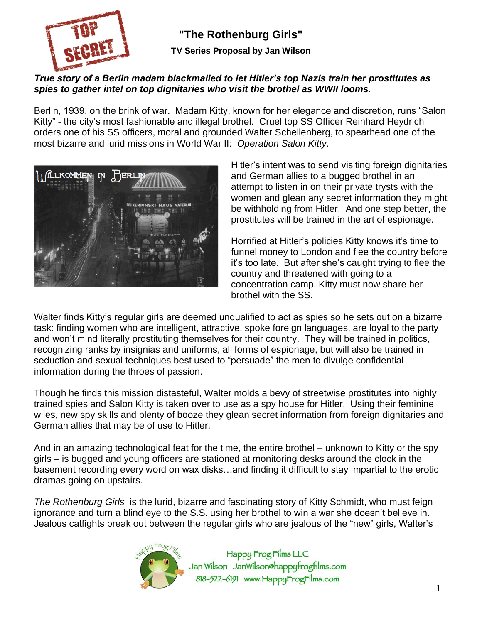

**"The Rothenburg Girls"**

**TV Series Proposal by Jan Wilson**

### *True story of a Berlin madam blackmailed to let Hitler's top Nazis train her prostitutes as spies to gather intel on top dignitaries who visit the brothel as WWII looms.*

Berlin, 1939, on the brink of war. Madam Kitty, known for her elegance and discretion, runs "Salon Kitty" - the city's most fashionable and illegal brothel. Cruel top SS Officer Reinhard Heydrich orders one of his SS officers, moral and grounded Walter Schellenberg, to spearhead one of the most bizarre and lurid missions in World War II: *Operation Salon Kitty*.



Hitler's intent was to send visiting foreign dignitaries and German allies to a bugged brothel in an attempt to listen in on their private trysts with the women and glean any secret information they might be withholding from Hitler. And one step better, the prostitutes will be trained in the art of espionage.

Horrified at Hitler's policies Kitty knows it's time to funnel money to London and flee the country before it's too late. But after she's caught trying to flee the country and threatened with going to a concentration camp, Kitty must now share her brothel with the SS.

Walter finds Kitty's regular girls are deemed unqualified to act as spies so he sets out on a bizarre task: finding women who are intelligent, attractive, spoke foreign languages, are loyal to the party and won't mind literally prostituting themselves for their country. They will be trained in politics, recognizing ranks by insignias and uniforms, all forms of espionage, but will also be trained in seduction and sexual techniques best used to "persuade" the men to divulge confidential information during the throes of passion.

Though he finds this mission distasteful, Walter molds a bevy of streetwise prostitutes into highly trained spies and Salon Kitty is taken over to use as a spy house for Hitler. Using their feminine wiles, new spy skills and plenty of booze they glean secret information from foreign dignitaries and German allies that may be of use to Hitler.

And in an amazing technological feat for the time, the entire brothel – unknown to Kitty or the spy girls – is bugged and young officers are stationed at monitoring desks around the clock in the basement recording every word on wax disks…and finding it difficult to stay impartial to the erotic dramas going on upstairs.

*The Rothenburg Girls* is the lurid, bizarre and fascinating story of Kitty Schmidt, who must feign ignorance and turn a blind eye to the S.S. using her brothel to win a war she doesn't believe in. Jealous catfights break out between the regular girls who are jealous of the "new" girls, Walter's

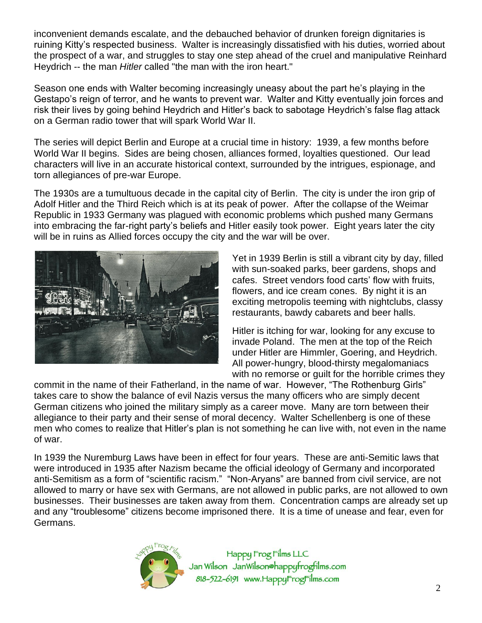inconvenient demands escalate, and the debauched behavior of drunken foreign dignitaries is ruining Kitty's respected business. Walter is increasingly dissatisfied with his duties, worried about the prospect of a war, and struggles to stay one step ahead of the cruel and manipulative Reinhard Heydrich -- the man *Hitler* called "the man with the iron heart."

Season one ends with Walter becoming increasingly uneasy about the part he's playing in the Gestapo's reign of terror, and he wants to prevent war. Walter and Kitty eventually join forces and risk their lives by going behind Heydrich and Hitler's back to sabotage Heydrich's false flag attack on a German radio tower that will spark World War II.

The series will depict Berlin and Europe at a crucial time in history: 1939, a few months before World War II begins. Sides are being chosen, alliances formed, loyalties questioned. Our lead characters will live in an accurate historical context, surrounded by the intrigues, espionage, and torn allegiances of pre-war Europe.

The 1930s are a tumultuous decade in the capital city of Berlin. The city is under the iron grip of Adolf Hitler and the Third Reich which is at its peak of power. After the collapse of the Weimar Republic in 1933 Germany was plagued with economic problems which pushed many Germans into embracing the far-right party's beliefs and Hitler easily took power. Eight years later the city will be in ruins as Allied forces occupy the city and the war will be over.



Yet in 1939 Berlin is still a vibrant city by day, filled with sun-soaked parks, beer gardens, shops and cafes. Street vendors food carts' flow with fruits, flowers, and ice cream cones. By night it is an exciting metropolis teeming with nightclubs, classy restaurants, bawdy cabarets and beer halls.

Hitler is itching for war, looking for any excuse to invade Poland. The men at the top of the Reich under Hitler are Himmler, Goering, and Heydrich. All power-hungry, blood-thirsty megalomaniacs with no remorse or guilt for the horrible crimes they

commit in the name of their Fatherland, in the name of war. However, "The Rothenburg Girls" takes care to show the balance of evil Nazis versus the many officers who are simply decent German citizens who joined the military simply as a career move. Many are torn between their allegiance to their party and their sense of moral decency. Walter Schellenberg is one of these men who comes to realize that Hitler's plan is not something he can live with, not even in the name of war.

In 1939 the Nuremburg Laws have been in effect for four years. These are anti-Semitic laws that were introduced in 1935 after Nazism became the official ideology of Germany and incorporated anti-Semitism as a form of "scientific racism." "Non-Aryans" are banned from civil service, are not allowed to marry or have sex with Germans, are not allowed in public parks, are not allowed to own businesses. Their businesses are taken away from them. Concentration camps are already set up and any "troublesome" citizens become imprisoned there. It is a time of unease and fear, even for Germans.

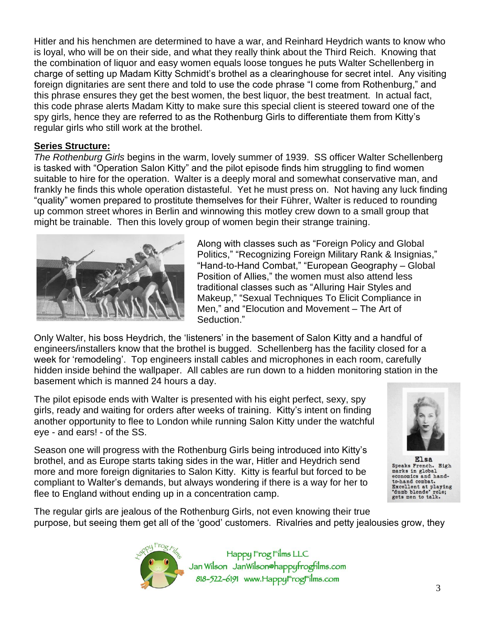Hitler and his henchmen are determined to have a war, and Reinhard Heydrich wants to know who is loyal, who will be on their side, and what they really think about the Third Reich. Knowing that the combination of liquor and easy women equals loose tongues he puts Walter Schellenberg in charge of setting up Madam Kitty Schmidt's brothel as a clearinghouse for secret intel. Any visiting foreign dignitaries are sent there and told to use the code phrase "I come from Rothenburg," and this phrase ensures they get the best women, the best liquor, the best treatment. In actual fact, this code phrase alerts Madam Kitty to make sure this special client is steered toward one of the spy girls, hence they are referred to as the Rothenburg Girls to differentiate them from Kitty's regular girls who still work at the brothel.

#### **Series Structure:**

*The Rothenburg Girls* begins in the warm, lovely summer of 1939. SS officer Walter Schellenberg is tasked with "Operation Salon Kitty" and the pilot episode finds him struggling to find women suitable to hire for the operation. Walter is a deeply moral and somewhat conservative man, and frankly he finds this whole operation distasteful. Yet he must press on. Not having any luck finding "quality" women prepared to prostitute themselves for their Führer, Walter is reduced to rounding up common street whores in Berlin and winnowing this motley crew down to a small group that might be trainable. Then this lovely group of women begin their strange training.



Along with classes such as "Foreign Policy and Global Politics," "Recognizing Foreign Military Rank & Insignias," "Hand-to-Hand Combat," "European Geography – Global Position of Allies," the women must also attend less traditional classes such as "Alluring Hair Styles and Makeup," "Sexual Techniques To Elicit Compliance in Men," and "Elocution and Movement – The Art of Seduction."

Only Walter, his boss Heydrich, the 'listeners' in the basement of Salon Kitty and a handful of engineers/installers know that the brothel is bugged. Schellenberg has the facility closed for a week for 'remodeling'. Top engineers install cables and microphones in each room, carefully hidden inside behind the wallpaper. All cables are run down to a hidden monitoring station in the basement which is manned 24 hours a day.

The pilot episode ends with Walter is presented with his eight perfect, sexy, spy girls, ready and waiting for orders after weeks of training. Kitty's intent on finding another opportunity to flee to London while running Salon Kitty under the watchful eye - and ears! - of the SS.

Season one will progress with the Rothenburg Girls being introduced into Kitty's brothel, and as Europe starts taking sides in the war, Hitler and Heydrich send more and more foreign dignitaries to Salon Kitty. Kitty is fearful but forced to be compliant to Walter's demands, but always wondering if there is a way for her to flee to England without ending up in a concentration camp.



Speaks French. High marks in global economics and handto-hand combat. Excellent at playing<br>"dumb blonde" role;<br>gets men to talk.

The regular girls are jealous of the Rothenburg Girls, not even knowing their true purpose, but seeing them get all of the 'good' customers. Rivalries and petty jealousies grow, they

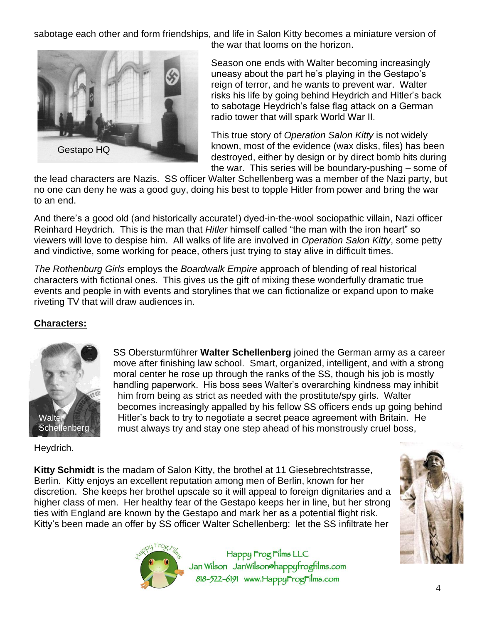sabotage each other and form friendships, and life in Salon Kitty becomes a miniature version of the war that looms on the horizon.



Season one ends with Walter becoming increasingly uneasy about the part he's playing in the Gestapo's reign of terror, and he wants to prevent war. Walter risks his life by going behind Heydrich and Hitler's back to sabotage Heydrich's false flag attack on a German radio tower that will spark World War II.

This true story of *Operation Salon Kitty* is not widely known, most of the evidence (wax disks, files) has been destroyed, either by design or by direct bomb hits during the war. This series will be boundary-pushing – some of

the lead characters are Nazis. SS officer Walter Schellenberg was a member of the Nazi party, but no one can deny he was a good guy, doing his best to topple Hitler from power and bring the war to an end.

And there's a good old (and historically accurate!) dyed-in-the-wool sociopathic villain, Nazi officer Reinhard Heydrich. This is the man that *Hitler* himself called "the man with the iron heart" so viewers will love to despise him. All walks of life are involved in *Operation Salon Kitty*, some petty and vindictive, some working for peace, others just trying to stay alive in difficult times.

*The Rothenburg Girls* employs the *Boardwalk Empire* approach of blending of real historical characters with fictional ones. This gives us the gift of mixing these wonderfully dramatic true events and people in with events and storylines that we can fictionalize or expand upon to make riveting TV that will draw audiences in.

# **Characters:**



SS Obersturmführer **Walter Schellenberg** joined the German army as a career move after finishing law school. Smart, organized, intelligent, and with a strong moral center he rose up through the ranks of the SS, though his job is mostly handling paperwork. His boss sees Walter's overarching kindness may inhibit him from being as strict as needed with the prostitute/spy girls. Walter becomes increasingly appalled by his fellow SS officers ends up going behind Hitler's back to try to negotiate a secret peace agreement with Britain. He must always try and stay one step ahead of his monstrously cruel boss,

Heydrich.

**Kitty Schmidt** is the madam of Salon Kitty, the brothel at 11 Giesebrechtstrasse, Berlin. Kitty enjoys an excellent reputation among men of Berlin, known for her discretion. She keeps her brothel upscale so it will appeal to foreign dignitaries and a higher class of men. Her healthy fear of the Gestapo keeps her in line, but her strong ties with England are known by the Gestapo and mark her as a potential flight risk. Kitty's been made an offer by SS officer Walter Schellenberg: let the SS infiltrate her



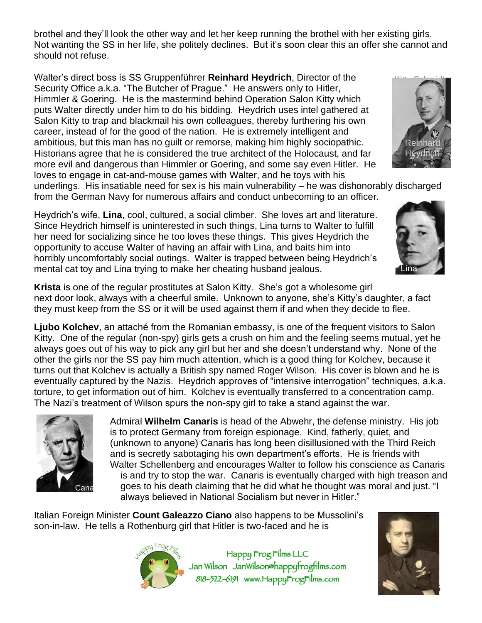brothel and they'll look the other way and let her keep running the brothel with her existing girls. Not wanting the SS in her life, she politely declines. But it's soon clear this an offer she cannot and should not refuse.

Walter's direct boss is SS Gruppenführer **Reinhard Heydrich**, Director of the Security Office a.k.a. "The Butcher of Prague." He answers only to Hitler, Himmler & Goering. He is the mastermind behind Operation Salon Kitty which puts Walter directly under him to do his bidding. Heydrich uses intel gathered at Salon Kitty to trap and blackmail his own colleagues, thereby furthering his own career, instead of for the good of the nation. He is extremely intelligent and ambitious, but this man has no guilt or remorse, making him highly sociopathic. Historians agree that he is considered the true architect of the Holocaust, and far more evil and dangerous than Himmler or Goering, and some say even Hitler. He loves to engage in cat-and-mouse games with Walter, and he toys with his



underlings. His insatiable need for sex is his main vulnerability – he was dishonorably discharged from the German Navy for numerous affairs and conduct unbecoming to an officer.

Heydrich's wife, **Lina**, cool, cultured, a social climber. She loves art and literature. Since Heydrich himself is uninterested in such things, Lina turns to Walter to fulfill her need for socializing since he too loves these things. This gives Heydrich the opportunity to accuse Walter of having an affair with Lina, and baits him into horribly uncomfortably social outings. Walter is trapped between being Heydrich's mental cat toy and Lina trying to make her cheating husband jealous.



**Krista** is one of the regular prostitutes at Salon Kitty. She's got a wholesome girl next door look, always with a cheerful smile. Unknown to anyone, she's Kitty's daughter, a fact they must keep from the SS or it will be used against them if and when they decide to flee.

**Ljubo Kolchev**, an attaché from the Romanian embassy, is one of the frequent visitors to Salon Kitty. One of the regular (non-spy) girls gets a crush on him and the feeling seems mutual, yet he always goes out of his way to pick any girl but her and she doesn't understand why. None of the other the girls nor the SS pay him much attention, which is a good thing for Kolchev, because it turns out that Kolchev is actually a British spy named Roger Wilson. His cover is blown and he is eventually captured by the Nazis. Heydrich approves of "intensive interrogation" techniques, a.k.a. torture, to get information out of him. Kolchev is eventually transferred to a concentration camp. The Nazi's treatment of Wilson spurs the non-spy girl to take a stand against the war.



Admiral **Wilhelm Canaris** is head of the Abwehr, the defense ministry. His job is to protect Germany from foreign espionage. Kind, fatherly, quiet, and (unknown to anyone) Canaris has long been disillusioned with the Third Reich and is secretly sabotaging his own department's efforts. He is friends with Walter Schellenberg and encourages Walter to follow his conscience as Canaris is and try to stop the war. Canaris is eventually charged with high treason and goes to his death claiming that he did what he thought was moral and just. "I always believed in National Socialism but never in Hitler."

Italian Foreign Minister **Count Galeazzo Ciano** also happens to be Mussolini's son-in-law. He tells a Rothenburg girl that Hitler is two-faced and he is



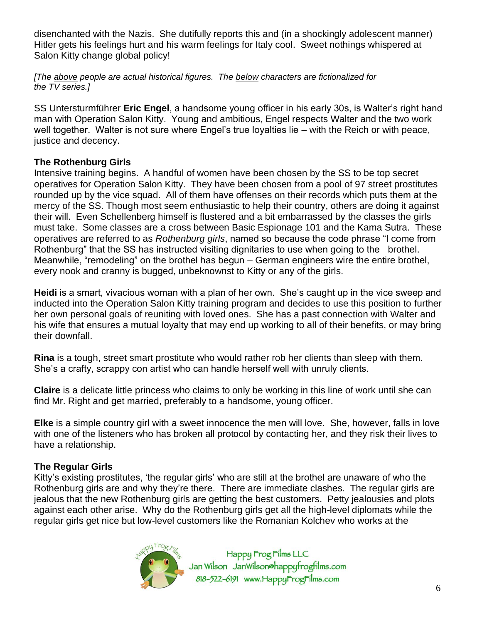disenchanted with the Nazis. She dutifully reports this and (in a shockingly adolescent manner) Hitler gets his feelings hurt and his warm feelings for Italy cool. Sweet nothings whispered at Salon Kitty change global policy!

*[The above people are actual historical figures. The below characters are fictionalized for the TV series.]*

SS Untersturmführer **Eric Engel**, a handsome young officer in his early 30s, is Walter's right hand man with Operation Salon Kitty. Young and ambitious, Engel respects Walter and the two work well together. Walter is not sure where Engel's true loyalties lie – with the Reich or with peace, justice and decency.

### **The Rothenburg Girls**

Intensive training begins. A handful of women have been chosen by the SS to be top secret operatives for Operation Salon Kitty. They have been chosen from a pool of 97 street prostitutes rounded up by the vice squad. All of them have offenses on their records which puts them at the mercy of the SS. Though most seem enthusiastic to help their country, others are doing it against their will. Even Schellenberg himself is flustered and a bit embarrassed by the classes the girls must take. Some classes are a cross between Basic Espionage 101 and the Kama Sutra. These operatives are referred to as *Rothenburg girls*, named so because the code phrase "I come from Rothenburg" that the SS has instructed visiting dignitaries to use when going to the brothel. Meanwhile, "remodeling" on the brothel has begun – German engineers wire the entire brothel, every nook and cranny is bugged, unbeknownst to Kitty or any of the girls.

**Heidi** is a smart, vivacious woman with a plan of her own. She's caught up in the vice sweep and inducted into the Operation Salon Kitty training program and decides to use this position to further her own personal goals of reuniting with loved ones. She has a past connection with Walter and his wife that ensures a mutual loyalty that may end up working to all of their benefits, or may bring their downfall.

**Rina** is a tough, street smart prostitute who would rather rob her clients than sleep with them. She's a crafty, scrappy con artist who can handle herself well with unruly clients.

**Claire** is a delicate little princess who claims to only be working in this line of work until she can find Mr. Right and get married, preferably to a handsome, young officer.

**Elke** is a simple country girl with a sweet innocence the men will love. She, however, falls in love with one of the listeners who has broken all protocol by contacting her, and they risk their lives to have a relationship.

### **The Regular Girls**

Kitty's existing prostitutes, 'the regular girls' who are still at the brothel are unaware of who the Rothenburg girls are and why they're there. There are immediate clashes. The regular girls are jealous that the new Rothenburg girls are getting the best customers. Petty jealousies and plots against each other arise. Why do the Rothenburg girls get all the high-level diplomats while the regular girls get nice but low-level customers like the Romanian Kolchev who works at the

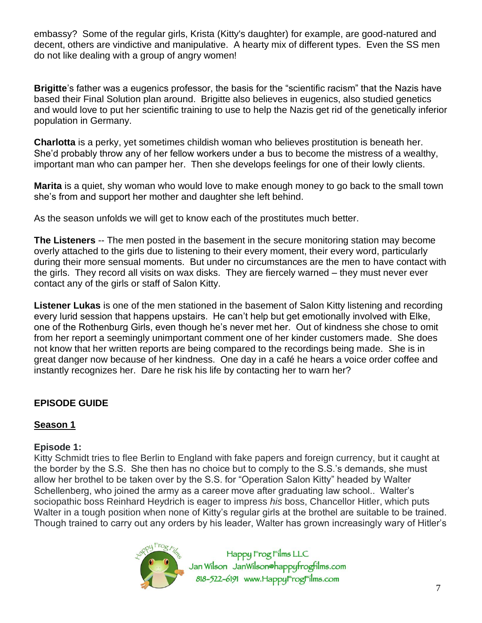embassy? Some of the regular girls, Krista (Kitty's daughter) for example, are good-natured and decent, others are vindictive and manipulative. A hearty mix of different types. Even the SS men do not like dealing with a group of angry women!

**Brigitte**'s father was a eugenics professor, the basis for the "scientific racism" that the Nazis have based their Final Solution plan around. Brigitte also believes in eugenics, also studied genetics and would love to put her scientific training to use to help the Nazis get rid of the genetically inferior population in Germany.

**Charlotta** is a perky, yet sometimes childish woman who believes prostitution is beneath her. She'd probably throw any of her fellow workers under a bus to become the mistress of a wealthy, important man who can pamper her. Then she develops feelings for one of their lowly clients.

**Marita** is a quiet, shy woman who would love to make enough money to go back to the small town she's from and support her mother and daughter she left behind.

As the season unfolds we will get to know each of the prostitutes much better.

**The Listeners** -- The men posted in the basement in the secure monitoring station may become overly attached to the girls due to listening to their every moment, their every word, particularly during their more sensual moments. But under no circumstances are the men to have contact with the girls. They record all visits on wax disks. They are fiercely warned – they must never ever contact any of the girls or staff of Salon Kitty.

**Listener Lukas** is one of the men stationed in the basement of Salon Kitty listening and recording every lurid session that happens upstairs. He can't help but get emotionally involved with Elke, one of the Rothenburg Girls, even though he's never met her. Out of kindness she chose to omit from her report a seemingly unimportant comment one of her kinder customers made. She does not know that her written reports are being compared to the recordings being made. She is in great danger now because of her kindness. One day in a café he hears a voice order coffee and instantly recognizes her. Dare he risk his life by contacting her to warn her?

# **EPISODE GUIDE**

# **Season 1**

### **Episode 1:**

Kitty Schmidt tries to flee Berlin to England with fake papers and foreign currency, but it caught at the border by the S.S. She then has no choice but to comply to the S.S.'s demands, she must allow her brothel to be taken over by the S.S. for "Operation Salon Kitty" headed by Walter Schellenberg, who joined the army as a career move after graduating law school.. Walter's sociopathic boss Reinhard Heydrich is eager to impress *his* boss, Chancellor Hitler, which puts Walter in a tough position when none of Kitty's regular girls at the brothel are suitable to be trained. Though trained to carry out any orders by his leader, Walter has grown increasingly wary of Hitler's

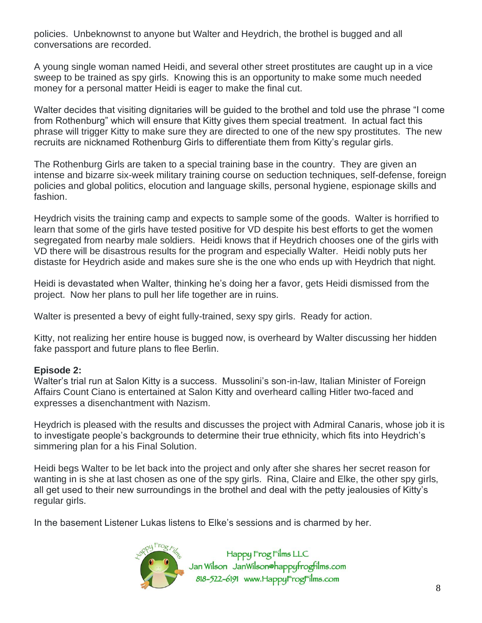policies. Unbeknownst to anyone but Walter and Heydrich, the brothel is bugged and all conversations are recorded.

A young single woman named Heidi, and several other street prostitutes are caught up in a vice sweep to be trained as spy girls. Knowing this is an opportunity to make some much needed money for a personal matter Heidi is eager to make the final cut.

Walter decides that visiting dignitaries will be guided to the brothel and told use the phrase "I come from Rothenburg" which will ensure that Kitty gives them special treatment. In actual fact this phrase will trigger Kitty to make sure they are directed to one of the new spy prostitutes. The new recruits are nicknamed Rothenburg Girls to differentiate them from Kitty's regular girls.

The Rothenburg Girls are taken to a special training base in the country. They are given an intense and bizarre six-week military training course on seduction techniques, self-defense, foreign policies and global politics, elocution and language skills, personal hygiene, espionage skills and fashion.

Heydrich visits the training camp and expects to sample some of the goods. Walter is horrified to learn that some of the girls have tested positive for VD despite his best efforts to get the women segregated from nearby male soldiers. Heidi knows that if Heydrich chooses one of the girls with VD there will be disastrous results for the program and especially Walter. Heidi nobly puts her distaste for Heydrich aside and makes sure she is the one who ends up with Heydrich that night.

Heidi is devastated when Walter, thinking he's doing her a favor, gets Heidi dismissed from the project. Now her plans to pull her life together are in ruins.

Walter is presented a bevy of eight fully-trained, sexy spy girls. Ready for action.

Kitty, not realizing her entire house is bugged now, is overheard by Walter discussing her hidden fake passport and future plans to flee Berlin.

#### **Episode 2:**

Walter's trial run at Salon Kitty is a success. Mussolini's son-in-law, Italian Minister of Foreign Affairs Count Ciano is entertained at Salon Kitty and overheard calling Hitler two-faced and expresses a disenchantment with Nazism.

Heydrich is pleased with the results and discusses the project with Admiral Canaris, whose job it is to investigate people's backgrounds to determine their true ethnicity, which fits into Heydrich's simmering plan for a his Final Solution.

Heidi begs Walter to be let back into the project and only after she shares her secret reason for wanting in is she at last chosen as one of the spy girls. Rina, Claire and Elke, the other spy girls, all get used to their new surroundings in the brothel and deal with the petty jealousies of Kitty's regular girls.

In the basement Listener Lukas listens to Elke's sessions and is charmed by her.

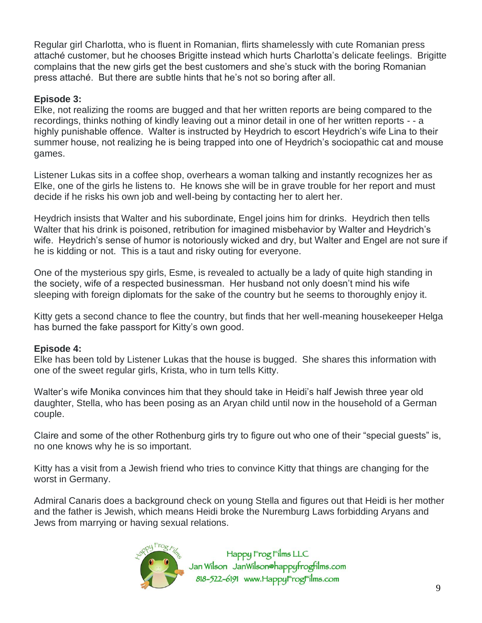Regular girl Charlotta, who is fluent in Romanian, flirts shamelessly with cute Romanian press attaché customer, but he chooses Brigitte instead which hurts Charlotta's delicate feelings. Brigitte complains that the new girls get the best customers and she's stuck with the boring Romanian press attaché. But there are subtle hints that he's not so boring after all.

### **Episode 3:**

Elke, not realizing the rooms are bugged and that her written reports are being compared to the recordings, thinks nothing of kindly leaving out a minor detail in one of her written reports - - a highly punishable offence. Walter is instructed by Heydrich to escort Heydrich's wife Lina to their summer house, not realizing he is being trapped into one of Heydrich's sociopathic cat and mouse games.

Listener Lukas sits in a coffee shop, overhears a woman talking and instantly recognizes her as Elke, one of the girls he listens to. He knows she will be in grave trouble for her report and must decide if he risks his own job and well-being by contacting her to alert her.

Heydrich insists that Walter and his subordinate, Engel joins him for drinks. Heydrich then tells Walter that his drink is poisoned, retribution for imagined misbehavior by Walter and Heydrich's wife. Heydrich's sense of humor is notoriously wicked and dry, but Walter and Engel are not sure if he is kidding or not. This is a taut and risky outing for everyone.

One of the mysterious spy girls, Esme, is revealed to actually be a lady of quite high standing in the society, wife of a respected businessman. Her husband not only doesn't mind his wife sleeping with foreign diplomats for the sake of the country but he seems to thoroughly enjoy it.

Kitty gets a second chance to flee the country, but finds that her well-meaning housekeeper Helga has burned the fake passport for Kitty's own good.

# **Episode 4:**

Elke has been told by Listener Lukas that the house is bugged. She shares this information with one of the sweet regular girls, Krista, who in turn tells Kitty.

Walter's wife Monika convinces him that they should take in Heidi's half Jewish three year old daughter, Stella, who has been posing as an Aryan child until now in the household of a German couple.

Claire and some of the other Rothenburg girls try to figure out who one of their "special guests" is, no one knows why he is so important.

Kitty has a visit from a Jewish friend who tries to convince Kitty that things are changing for the worst in Germany.

Admiral Canaris does a background check on young Stella and figures out that Heidi is her mother and the father is Jewish, which means Heidi broke the Nuremburg Laws forbidding Aryans and Jews from marrying or having sexual relations.

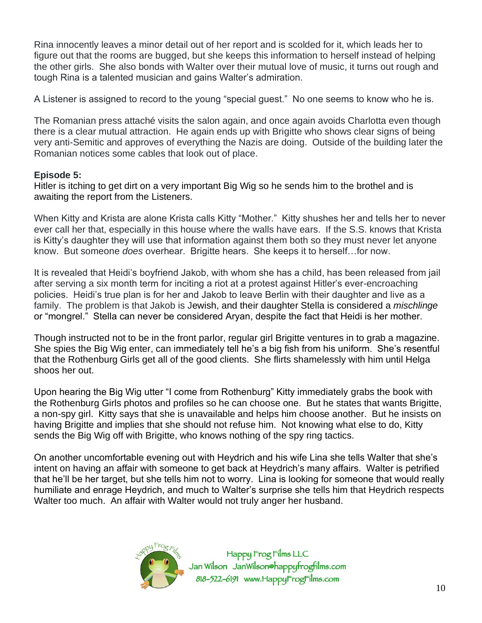Rina innocently leaves a minor detail out of her report and is scolded for it, which leads her to figure out that the rooms are bugged, but she keeps this information to herself instead of helping the other girls. She also bonds with Walter over their mutual love of music, it turns out rough and tough Rina is a talented musician and gains Walter's admiration.

A Listener is assigned to record to the young "special guest." No one seems to know who he is.

The Romanian press attaché visits the salon again, and once again avoids Charlotta even though there is a clear mutual attraction. He again ends up with Brigitte who shows clear signs of being very anti-Semitic and approves of everything the Nazis are doing. Outside of the building later the Romanian notices some cables that look out of place.

### **Episode 5:**

Hitler is itching to get dirt on a very important Big Wig so he sends him to the brothel and is awaiting the report from the Listeners.

When Kitty and Krista are alone Krista calls Kitty "Mother." Kitty shushes her and tells her to never ever call her that, especially in this house where the walls have ears. If the S.S. knows that Krista is Kitty's daughter they will use that information against them both so they must never let anyone know. But someone *does* overhear. Brigitte hears. She keeps it to herself…for now.

It is revealed that Heidi's boyfriend Jakob, with whom she has a child, has been released from jail after serving a six month term for inciting a riot at a protest against Hitler's ever-encroaching policies. Heidi's true plan is for her and Jakob to leave Berlin with their daughter and live as a family. The problem is that Jakob is Jewish, and their daughter Stella is considered a *mischlinge* or "mongrel." Stella can never be considered Aryan, despite the fact that Heidi is her mother.

Though instructed not to be in the front parlor, regular girl Brigitte ventures in to grab a magazine. She spies the Big Wig enter, can immediately tell he's a big fish from his uniform. She's resentful that the Rothenburg Girls get all of the good clients. She flirts shamelessly with him until Helga shoos her out.

Upon hearing the Big Wig utter "I come from Rothenburg" Kitty immediately grabs the book with the Rothenburg Girls photos and profiles so he can choose one. But he states that wants Brigitte, a non-spy girl. Kitty says that she is unavailable and helps him choose another. But he insists on having Brigitte and implies that she should not refuse him. Not knowing what else to do, Kitty sends the Big Wig off with Brigitte, who knows nothing of the spy ring tactics.

On another uncomfortable evening out with Heydrich and his wife Lina she tells Walter that she's intent on having an affair with someone to get back at Heydrich's many affairs. Walter is petrified that he'll be her target, but she tells him not to worry. Lina is looking for someone that would really humiliate and enrage Heydrich, and much to Walter's surprise she tells him that Heydrich respects Walter too much. An affair with Walter would not truly anger her husband.

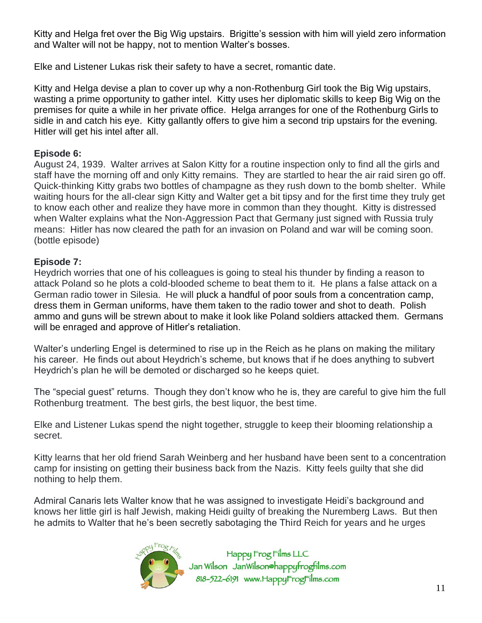Kitty and Helga fret over the Big Wig upstairs. Brigitte's session with him will yield zero information and Walter will not be happy, not to mention Walter's bosses.

Elke and Listener Lukas risk their safety to have a secret, romantic date.

Kitty and Helga devise a plan to cover up why a non-Rothenburg Girl took the Big Wig upstairs, wasting a prime opportunity to gather intel. Kitty uses her diplomatic skills to keep Big Wig on the premises for quite a while in her private office. Helga arranges for one of the Rothenburg Girls to sidle in and catch his eye. Kitty gallantly offers to give him a second trip upstairs for the evening. Hitler will get his intel after all.

# **Episode 6:**

August 24, 1939. Walter arrives at Salon Kitty for a routine inspection only to find all the girls and staff have the morning off and only Kitty remains. They are startled to hear the air raid siren go off. Quick-thinking Kitty grabs two bottles of champagne as they rush down to the bomb shelter. While waiting hours for the all-clear sign Kitty and Walter get a bit tipsy and for the first time they truly get to know each other and realize they have more in common than they thought. Kitty is distressed when Walter explains what the Non-Aggression Pact that Germany just signed with Russia truly means: Hitler has now cleared the path for an invasion on Poland and war will be coming soon. (bottle episode)

# **Episode 7:**

Heydrich worries that one of his colleagues is going to steal his thunder by finding a reason to attack Poland so he plots a cold-blooded scheme to beat them to it. He plans a false attack on a German radio tower in Silesia. He will pluck a handful of poor souls from a concentration camp, dress them in German uniforms, have them taken to the radio tower and shot to death. Polish ammo and guns will be strewn about to make it look like Poland soldiers attacked them. Germans will be enraged and approve of Hitler's retaliation.

Walter's underling Engel is determined to rise up in the Reich as he plans on making the military his career. He finds out about Heydrich's scheme, but knows that if he does anything to subvert Heydrich's plan he will be demoted or discharged so he keeps quiet.

The "special guest" returns. Though they don't know who he is, they are careful to give him the full Rothenburg treatment. The best girls, the best liquor, the best time.

Elke and Listener Lukas spend the night together, struggle to keep their blooming relationship a secret.

Kitty learns that her old friend Sarah Weinberg and her husband have been sent to a concentration camp for insisting on getting their business back from the Nazis. Kitty feels guilty that she did nothing to help them.

Admiral Canaris lets Walter know that he was assigned to investigate Heidi's background and knows her little girl is half Jewish, making Heidi guilty of breaking the Nuremberg Laws. But then he admits to Walter that he's been secretly sabotaging the Third Reich for years and he urges

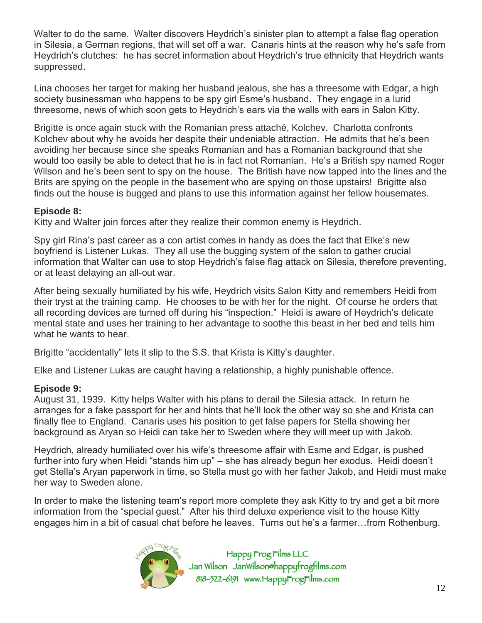Walter to do the same. Walter discovers Heydrich's sinister plan to attempt a false flag operation in Silesia, a German regions, that will set off a war. Canaris hints at the reason why he's safe from Heydrich's clutches: he has secret information about Heydrich's true ethnicity that Heydrich wants suppressed.

Lina chooses her target for making her husband jealous, she has a threesome with Edgar, a high society businessman who happens to be spy girl Esme's husband. They engage in a lurid threesome, news of which soon gets to Heydrich's ears via the walls with ears in Salon Kitty.

Brigitte is once again stuck with the Romanian press attaché, Kolchev. Charlotta confronts Kolchev about why he avoids her despite their undeniable attraction. He admits that he's been avoiding her because since she speaks Romanian and has a Romanian background that she would too easily be able to detect that he is in fact not Romanian. He's a British spy named Roger Wilson and he's been sent to spy on the house. The British have now tapped into the lines and the Brits are spying on the people in the basement who are spying on those upstairs! Brigitte also finds out the house is bugged and plans to use this information against her fellow housemates.

### **Episode 8:**

Kitty and Walter join forces after they realize their common enemy is Heydrich.

Spy girl Rina's past career as a con artist comes in handy as does the fact that Elke's new boyfriend is Listener Lukas. They all use the bugging system of the salon to gather crucial information that Walter can use to stop Heydrich's false flag attack on Silesia, therefore preventing, or at least delaying an all-out war.

After being sexually humiliated by his wife, Heydrich visits Salon Kitty and remembers Heidi from their tryst at the training camp. He chooses to be with her for the night. Of course he orders that all recording devices are turned off during his "inspection." Heidi is aware of Heydrich's delicate mental state and uses her training to her advantage to soothe this beast in her bed and tells him what he wants to hear.

Brigitte "accidentally" lets it slip to the S.S. that Krista is Kitty's daughter.

Elke and Listener Lukas are caught having a relationship, a highly punishable offence.

# **Episode 9:**

August 31, 1939. Kitty helps Walter with his plans to derail the Silesia attack. In return he arranges for a fake passport for her and hints that he'll look the other way so she and Krista can finally flee to England. Canaris uses his position to get false papers for Stella showing her background as Aryan so Heidi can take her to Sweden where they will meet up with Jakob.

Heydrich, already humiliated over his wife's threesome affair with Esme and Edgar, is pushed further into fury when Heidi "stands him up" – she has already begun her exodus. Heidi doesn't get Stella's Aryan paperwork in time, so Stella must go with her father Jakob, and Heidi must make her way to Sweden alone.

In order to make the listening team's report more complete they ask Kitty to try and get a bit more information from the "special guest." After his third deluxe experience visit to the house Kitty engages him in a bit of casual chat before he leaves. Turns out he's a farmer…from Rothenburg.

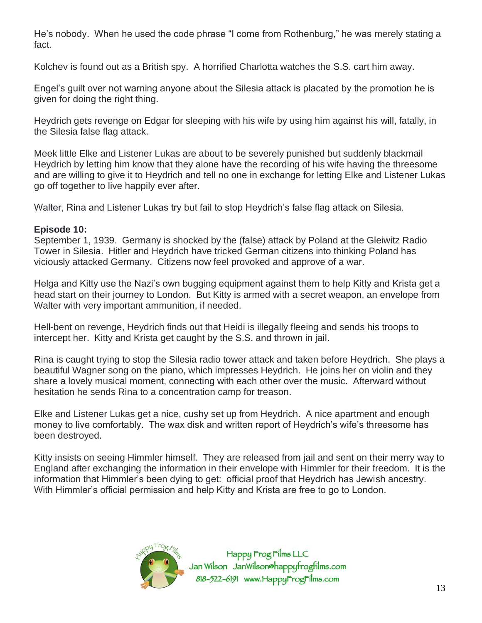He's nobody. When he used the code phrase "I come from Rothenburg," he was merely stating a fact.

Kolchev is found out as a British spy. A horrified Charlotta watches the S.S. cart him away.

Engel's guilt over not warning anyone about the Silesia attack is placated by the promotion he is given for doing the right thing.

Heydrich gets revenge on Edgar for sleeping with his wife by using him against his will, fatally, in the Silesia false flag attack.

Meek little Elke and Listener Lukas are about to be severely punished but suddenly blackmail Heydrich by letting him know that they alone have the recording of his wife having the threesome and are willing to give it to Heydrich and tell no one in exchange for letting Elke and Listener Lukas go off together to live happily ever after.

Walter, Rina and Listener Lukas try but fail to stop Heydrich's false flag attack on Silesia.

### **Episode 10:**

September 1, 1939. Germany is shocked by the (false) attack by Poland at the Gleiwitz Radio Tower in Silesia. Hitler and Heydrich have tricked German citizens into thinking Poland has viciously attacked Germany. Citizens now feel provoked and approve of a war.

Helga and Kitty use the Nazi's own bugging equipment against them to help Kitty and Krista get a head start on their journey to London. But Kitty is armed with a secret weapon, an envelope from Walter with very important ammunition, if needed.

Hell-bent on revenge, Heydrich finds out that Heidi is illegally fleeing and sends his troops to intercept her. Kitty and Krista get caught by the S.S. and thrown in jail.

Rina is caught trying to stop the Silesia radio tower attack and taken before Heydrich. She plays a beautiful Wagner song on the piano, which impresses Heydrich. He joins her on violin and they share a lovely musical moment, connecting with each other over the music. Afterward without hesitation he sends Rina to a concentration camp for treason.

Elke and Listener Lukas get a nice, cushy set up from Heydrich. A nice apartment and enough money to live comfortably. The wax disk and written report of Heydrich's wife's threesome has been destroyed.

Kitty insists on seeing Himmler himself. They are released from jail and sent on their merry way to England after exchanging the information in their envelope with Himmler for their freedom. It is the information that Himmler's been dying to get: official proof that Heydrich has Jewish ancestry. With Himmler's official permission and help Kitty and Krista are free to go to London.